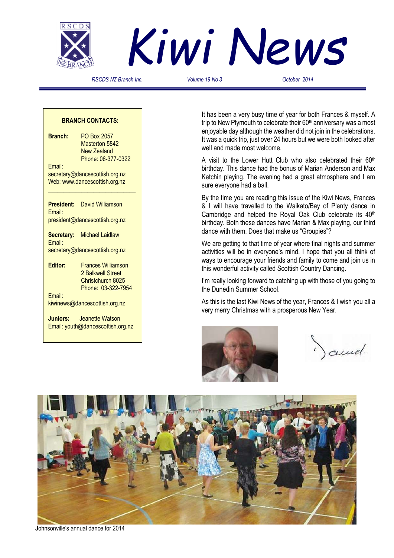



*RSCDS NZ Branch Inc. Volume 19 No 3 October 2014*

#### **BRANCH CONTACTS:**

**Branch:** PO Box 2057 Masterton 5842 New Zealand Phone: 06-377-0322 Email: secretary@dancescottish.org.nz Web: www.dancescottish.org.nz **\_\_\_\_\_\_\_\_\_\_\_\_\_\_\_\_\_\_\_\_\_\_\_\_\_\_\_\_\_ President:** David Williamson Email: president@dancescottish.org.nz **Secretary:** Michael Laidlaw Email: secretary@dancescottish.org.nz **Editor:** Frances Williamson

 2 Balkwell Street Christchurch 8025 Phone: 03-322-7954 Email:

kiwinews@dancescottish.org.nz

**Juniors:** Jeanette Watson Email: youth@dancescottish.org.nz It has been a very busy time of year for both Frances & myself. A trip to New Plymouth to celebrate their 60<sup>th</sup> anniversary was a most enjoyable day although the weather did not join in the celebrations. It was a quick trip, just over 24 hours but we were both looked after well and made most welcome.

A visit to the Lower Hutt Club who also celebrated their 60<sup>th</sup> birthday. This dance had the bonus of Marian Anderson and Max Ketchin playing. The evening had a great atmosphere and I am sure everyone had a ball.

By the time you are reading this issue of the Kiwi News, Frances & I will have travelled to the Waikato/Bay of Plenty dance in Cambridge and helped the Royal Oak Club celebrate its 40<sup>th</sup> birthday. Both these dances have Marian & Max playing, our third dance with them. Does that make us "Groupies"?

We are getting to that time of year where final nights and summer activities will be in everyone's mind. I hope that you all think of ways to encourage your friends and family to come and join us in this wonderful activity called Scottish Country Dancing.

I'm really looking forward to catching up with those of you going to the Dunedin Summer School.

As this is the last Kiwi News of the year, Frances & I wish you all a very merry Christmas with a prosperous New Year.



and.



 **J**ohnsonville's annual dance for 2014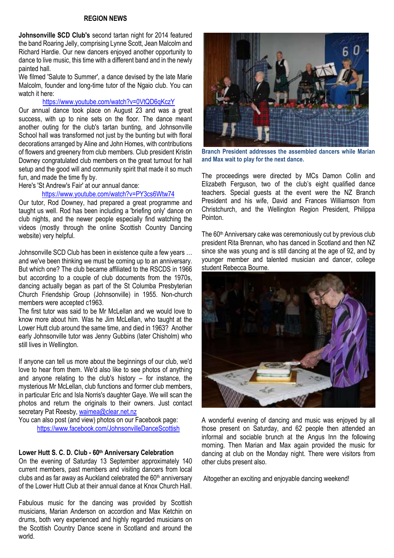# **REGION NEWS**

**Johnsonville SCD Club's** second tartan night for 2014 featured the band Roaring Jelly, comprising Lynne Scott, Jean Malcolm and Richard Hardie. Our new dancers enjoyed another opportunity to dance to live music, this time with a different band and in the newly painted hall.

We filmed 'Salute to Summer', a dance devised by the late Marie Malcolm, founder and long-time tutor of the Ngaio club. You can watch it here:

## <https://www.youtube.com/watch?v=0VtQD6qKczY>

Our annual dance took place on August 23 and was a great success, with up to nine sets on the floor. The dance meant another outing for the club's tartan bunting, and Johnsonville School hall was transformed not just by the bunting but with floral decorations arranged by Aline and John Homes, with contributions of flowers and greenery from club members. Club president Kristin Downey congratulated club members on the great turnout for hall setup and the good will and community spirit that made it so much fun, and made the time fly by.

Here's 'St Andrew's Fair' at our annual dance:

## <https://www.youtube.com/watch?v=PY3cs6Wtw74>

Our tutor, Rod Downey, had prepared a great programme and taught us well. Rod has been including a 'briefing only' dance on club nights, and the newer people especially find watching the videos (mostly through the online Scottish Country Dancing website) very helpful.

Johnsonville SCD Club has been in existence quite a few years … and we've been thinking we must be coming up to an anniversary. But which one? The club became affiliated to the RSCDS in 1966 but according to a couple of club documents from the 1970s, dancing actually began as part of the St Columba Presbyterian Church Friendship Group (Johnsonville) in 1955. Non-church members were accepted c1963.

The first tutor was said to be Mr McLellan and we would love to know more about him. Was he Jim McLellan, who taught at the Lower Hutt club around the same time, and died in 1963? Another early Johnsonville tutor was Jenny Gubbins (later Chisholm) who still lives in Wellington.

If anyone can tell us more about the beginnings of our club, we'd love to hear from them. We'd also like to see photos of anything and anyone relating to the club's history – for instance, the mysterious Mr McLellan, club functions and former club members, in particular Eric and Isla Norris's daughter Gaye. We will scan the photos and return the originals to their owners. Just contact secretary Pat Reesby[, waimea@clear.net.nz](mailto:waimea@clear.net.nz)

You can also post (and view) photos on our Facebook page: <https://www.facebook.com/JohnsonvilleDanceScottish>

#### **Lower Hutt S. C. D. Club - 60th Anniversary Celebration**

On the evening of Saturday 13 September approximately 140 current members, past members and visiting dancers from local clubs and as far away as Auckland celebrated the  $60<sup>th</sup>$  anniversary of the Lower Hutt Club at their annual dance at Knox Church Hall.

Fabulous music for the dancing was provided by Scottish musicians, Marian Anderson on accordion and Max Ketchin on drums, both very experienced and highly regarded musicians on the Scottish Country Dance scene in Scotland and around the world.



**Branch President addresses the assembled dancers while Marian and Max wait to play for the next dance.**

The proceedings were directed by MCs Damon Collin and Elizabeth Ferguson, two of the club's eight qualified dance teachers. Special guests at the event were the NZ Branch President and his wife, David and Frances Williamson from Christchurch, and the Wellington Region President, Philippa Pointon.

The 60<sup>th</sup> Anniversary cake was ceremoniously cut by previous club president Rita Brennan, who has danced in Scotland and then NZ since she was young and is still dancing at the age of 92, and by younger member and talented musician and dancer, college student Rebecca Bourne.



A wonderful evening of dancing and music was enjoyed by all those present on Saturday, and 62 people then attended an informal and sociable brunch at the Angus Inn the following morning. Then Marian and Max again provided the music for dancing at club on the Monday night. There were visitors from other clubs present also.

Altogether an exciting and enjoyable dancing weekend!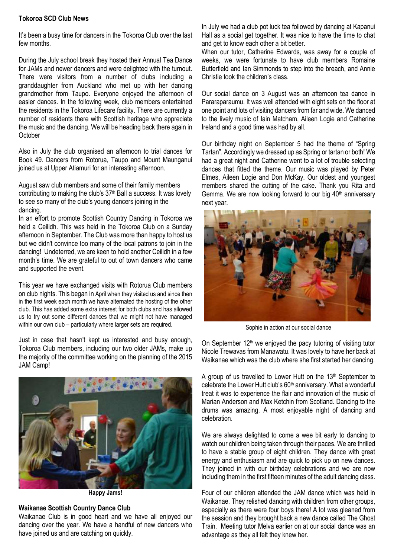# **Tokoroa SCD Club News**

It's been a busy time for dancers in the Tokoroa Club over the last few months.

During the July school break they hosted their Annual Tea Dance for JAMs and newer dancers and were delighted with the turnout. There were visitors from a number of clubs including a granddaughter from Auckland who met up with her dancing grandmother from Taupo. Everyone enjoyed the afternoon of easier dances. In the following week, club members entertained the residents in the Tokoroa Lifecare facility. There are currently a number of residents there with Scottish heritage who appreciate the music and the dancing. We will be heading back there again in **October** 

Also in July the club organised an afternoon to trial dances for Book 49. Dancers from Rotorua, Taupo and Mount Maunganui joined us at Upper Atiamuri for an interesting afternoon.

August saw club members and some of their family members contributing to making the club's 37<sup>th</sup> Ball a success. It was lovely to see so many of the club's young dancers joining in the dancing.

In an effort to promote Scottish Country Dancing in Tokoroa we held a Ceilidh. This was held in the Tokoroa Club on a Sunday afternoon in September. The Club was more than happy to host us but we didn't convince too many of the local patrons to join in the dancing! Undeterred, we are keen to hold another Ceilidh in a few month's time. We are grateful to out of town dancers who came and supported the event.

This year we have exchanged visits with Rotorua Club members on club nights. This began in April when they visited us and since then in the first week each month we have alternated the hosting of the other club. This has added some extra interest for both clubs and has allowed us to try out some different dances that we might not have managed within our own club – particularly where larger sets are required.

Just in case that hasn't kept us interested and busy enough, Tokoroa Club members, including our two older JAMs, make up the majority of the committee working on the planning of the 2015 JAM Camp!



**Happy Jams!**

# **Waikanae Scottish Country Dance Club**

Waikanae Club is in good heart and we have all enjoyed our dancing over the year. We have a handful of new dancers who have joined us and are catching on quickly.

In July we had a club pot luck tea followed by dancing at Kapanui Hall as a social get together. It was nice to have the time to chat and get to know each other a bit better.

When our tutor, Catherine Edwards, was away for a couple of weeks, we were fortunate to have club members Romaine Butterfield and Ian Simmonds to step into the breach, and Annie Christie took the children's class.

Our social dance on 3 August was an afternoon tea dance in Pararaparaumu. It was well attended with eight sets on the floor at one point and lots of visiting dancers from far and wide. We danced to the lively music of Iain Matcham, Aileen Logie and Catherine Ireland and a good time was had by all.

Our birthday night on September 5 had the theme of "Spring Tartan". Accordingly we dressed up as Spring or tartan or both! We had a great night and Catherine went to a lot of trouble selecting dances that fitted the theme. Our music was played by Peter Elmes, Aileen Logie and Don McKay. Our oldest and youngest members shared the cutting of the cake. Thank you Rita and Gemma. We are now looking forward to our big  $40<sup>th</sup>$  anniversary next year.



Sophie in action at our social dance

On September 12<sup>th</sup> we enjoyed the pacy tutoring of visiting tutor Nicole Trewavas from Manawatu. It was lovely to have her back at Waikanae which was the club where she first started her dancing.

A group of us travelled to Lower Hutt on the  $13<sup>th</sup>$  September to celebrate the Lower Hutt club's  $60<sup>th</sup>$  anniversary. What a wonderful treat it was to experience the flair and innovation of the music of Marian Anderson and Max Ketchin from Scotland. Dancing to the drums was amazing. A most enjoyable night of dancing and celebration.

We are always delighted to come a wee bit early to dancing to watch our children being taken through their paces. We are thrilled to have a stable group of eight children. They dance with great energy and enthusiasm and are quick to pick up on new dances. They joined in with our birthday celebrations and we are now including them in the first fifteen minutes of the adult dancing class.

Four of our children attended the JAM dance which was held in Waikanae. They relished dancing with children from other groups, especially as there were four boys there! A lot was gleaned from the session and they brought back a new dance called The Ghost Train. Meeting tutor Melva earlier on at our social dance was an advantage as they all felt they knew her.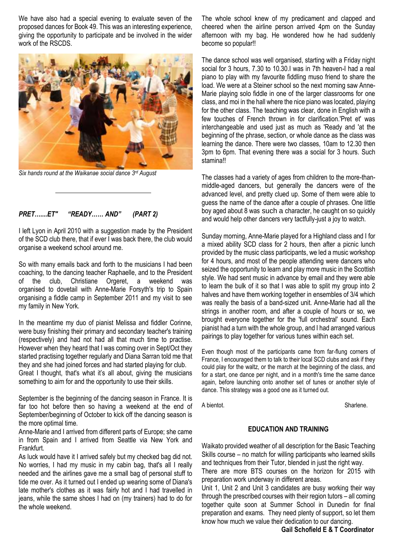We have also had a special evening to evaluate seven of the proposed dances for Book 49. This was an interesting experience, giving the opportunity to participate and be involved in the wider work of the RSCDS.



*Six hands round at the Waikanae social dance 3rd August*

## *PRET…....ET" "READY…… AND" (PART 2)*

I left Lyon in April 2010 with a suggestion made by the President of the SCD club there, that if ever I was back there, the club would organise a weekend school around me.

So with many emails back and forth to the musicians I had been coaching, to the dancing teacher Raphaelle, and to the President of the club, Christiane Orgeret, a weekend was organised to dovetail with Anne-Marie Forsyth's trip to Spain organising a fiddle camp in September 2011 and my visit to see my family in New York.

In the meantime my duo of pianist Melissa and fiddler Corinne, were busy finishing their primary and secondary teacher's training (respectively) and had not had all that much time to practise. However when they heard that I was coming over in Sept/Oct they started practising together regularly and Diana Sarran told me that they and she had joined forces and had started playing for club. Great I thought, that's what it's all about, giving the musicians something to aim for and the opportunity to use their skills.

September is the beginning of the dancing season in France. It is far too hot before then so having a weekend at the end of September/beginning of October to kick off the dancing season is the more optimal time.

Anne-Marie and I arrived from different parts of Europe; she came in from Spain and I arrived from Seattle via New York and Frankfurt.

As luck would have it I arrived safely but my checked bag did not. No worries, I had my music in my cabin bag, that's all I really needed and the airlines gave me a small bag of personal stuff to tide me over. As it turned out I ended up wearing some of Diana's late mother's clothes as it was fairly hot and I had travelled in jeans, while the same shoes I had on (my trainers) had to do for the whole weekend.

The whole school knew of my predicament and clapped and cheered when the airline person arrived 4pm on the Sunday afternoon with my bag. He wondered how he had suddenly become so popular!!

The dance school was well organised, starting with a Friday night social for 3 hours, 7.30 to 10.30.I was in 7th heaven-I had a real piano to play with my favourite fiddling muso friend to share the load. We were at a Steiner school so the next morning saw Anne-Marie playing solo fiddle in one of the larger classrooms for one class, and moi in the hall where the nice piano was located, playing for the other class. The teaching was clear, done in English with a few touches of French thrown in for clarification.'Pret et' was interchangeable and used just as much as 'Ready and 'at the beginning of the phrase, section, or whole dance as the class was learning the dance. There were two classes, 10am to 12.30 then 3pm to 6pm. That evening there was a social for 3 hours. Such stamina!!

The classes had a variety of ages from children to the more-thanmiddle-aged dancers, but generally the dancers were of the advanced level, and pretty clued up. Some of them were able to guess the name of the dance after a couple of phrases. One little boy aged about 8 was such a character, he caught on so quickly and would help other dancers very tactfully-just a joy to watch.

Sunday morning, Anne-Marie played for a Highland class and I for a mixed ability SCD class for 2 hours, then after a picnic lunch provided by the music class participants, we led a music workshop for 4 hours, and most of the people attending were dancers who seized the opportunity to learn and play more music in the Scottish style. We had sent music in advance by email and they were able to learn the bulk of it so that I was able to split my group into 2 halves and have them working together in ensembles of 3/4 which was really the basis of a band-sized unit. Anne-Marie had all the strings in another room, and after a couple of hours or so, we brought everyone together for the 'full orchestral' sound. Each pianist had a turn with the whole group, and I had arranged various pairings to play together for various tunes within each set.

Even though most of the participants came from far-flung corners of France, I encouraged them to talk to their local SCD clubs and ask if they could play for the waltz, or the march at the beginning of the class, and for a start, one dance per night, and in a month's time the same dance again, before launching onto another set of tunes or another style of dance. This strategy was a good one as it turned out.

A bientot. **Sharlene**.

## **EDUCATION AND TRAINING**

Waikato provided weather of all description for the Basic Teaching Skills course – no match for willing participants who learned skills and techniques from their Tutor, blended in just the right way.

There are more BTS courses on the horizon for 2015 with preparation work underway in different areas.

Unit 1, Unit 2 and Unit 3 candidates are busy working their way through the prescribed courses with their region tutors – all coming together quite soon at Summer School in Dunedin for final preparation and exams. They need plenty of support, so let them know how much we value their dedication to our dancing.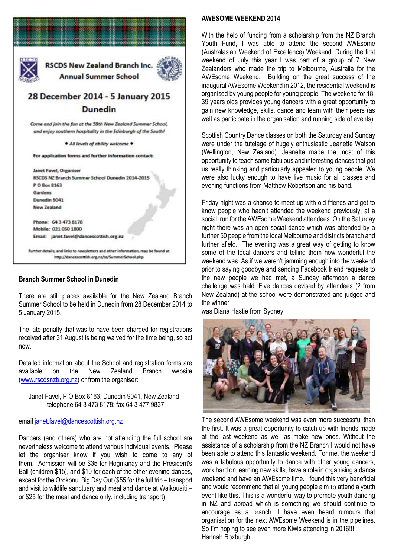

## **Branch Summer School in Dunedin**

There are still places available for the New Zealand Branch Summer School to be held in Dunedin from 28 December 2014 to 5 January 2015.

The late penalty that was to have been charged for registrations received after 31 August is being waived for the time being, so act now.

Detailed information about the School and registration forms are available on the New Zealand Branch website [\(www.rscdsnzb.org.nz\)](http://www.rscdsnzb.org.nz/) or from the organiser:

 Janet Favel, P O Box 8163, Dunedin 9041, New Zealand telephone 64 3 473 8178; fax 64 3 477 9837

## email [janet.favel@dancescottish.org.nz](mailto:janet.favel@dancescottish.org.nz)

Dancers (and others) who are not attending the full school are nevertheless welcome to attend various individual events. Please let the organiser know if you wish to come to any of them. Admission will be \$35 for Hogmanay and the President's Ball (children \$15), and \$10 for each of the other evening dances, except for the Orokonui Big Day Out (\$55 for the full trip – transport and visit to wildlife sanctuary and meal and dance at Waikouaiti – or \$25 for the meal and dance only, including transport).

## **AWESOME WEEKEND 2014**

With the help of funding from a scholarship from the NZ Branch Youth Fund, I was able to attend the second AWEsome (Australasian Weekend of Excellence) Weekend. During the first weekend of July this year I was part of a group of 7 New Zealanders who made the trip to Melbourne, Australia for the AWEsome Weekend. Building on the great success of the inaugural AWEsome Weekend in 2012, the residential weekend is organised by young people for young people. The weekend for 18- 39 years olds provides young dancers with a great opportunity to gain new knowledge, skills, dance and learn with their peers (as well as participate in the organisation and running side of events).

Scottish Country Dance classes on both the Saturday and Sunday were under the tutelage of hugely enthusiastic Jeanette Watson (Wellington, New Zealand). Jeanette made the most of this opportunity to teach some fabulous and interesting dances that got us really thinking and particularly appealed to young people. We were also lucky enough to have live music for all classes and evening functions from Matthew Robertson and his band.

Friday night was a chance to meet up with old friends and get to know people who hadn't attended the weekend previously, at a social, run for the AWEsome Weekend attendees. On the Saturday night there was an open social dance which was attended by a further 50 people from the local Melbourne and districts branch and further afield. The evening was a great way of getting to know some of the local dancers and telling them how wonderful the weekend was. As if we weren't jamming enough into the weekend prior to saying goodbye and sending Facebook friend requests to the new people we had met, a Sunday afternoon a dance challenge was held. Five dances devised by attendees (2 from New Zealand) at the school were demonstrated and judged and the winner

was Diana Hastie from Sydney.



The second AWEsome weekend was even more successful than the first. It was a great opportunity to catch up with friends made at the last weekend as well as make new ones. Without the assistance of a scholarship from the NZ Branch I would not have been able to attend this fantastic weekend. For me, the weekend was a fabulous opportunity to dance with other young dancers, work hard on learning new skills, have a role in organising a dance weekend and have an AWEsome time. I found this very beneficial and would recommend that all young people aim to attend a youth event like this. This is a wonderful way to promote youth dancing in NZ and abroad which is something we should continue to encourage as a branch. I have even heard rumours that organisation for the next AWEsome Weekend is in the pipelines. So I'm hoping to see even more Kiwis attending in 2016!!! Hannah Roxburgh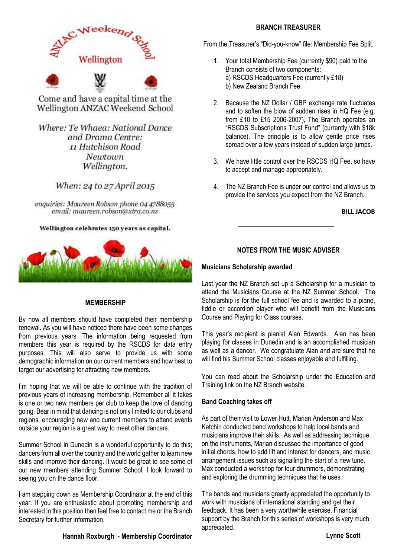

Come and have a capital time at the Wellington ANZAC Weekend School

Where: Te Whaea: National Dance and Drama Centre: 11 Hutchison Road Newtown Wellington.

When: 24 to 27 April 2015

enquiries: Maureen Robson phone 04 4788055 email: maureen.robson@xtra.co.nz

## Wellington celebrates 150 years as capital.



## **MEMBERSHIP**

By now all members should have completed their membership renewal. As you will have noticed there have been some changes from previous years. The information being requested from members this year is required by the RSCDS for data entry purposes. This will also serve to provide us with some demographic information on our current members and how best to target our advertising for attracting new members.

I'm hoping that we will be able to continue with the tradition of previous years of increasing membership. Remember all it takes is one or two new members per club to keep the love of dancing going. Bear in mind that dancing is not only limited to our clubs and regions, encouraging new and current members to attend events outside your region is a great way to meet other dancers.

Summer School in Dunedin is a wonderful opportunity to do this; dancers from all over the country and the world gather to learn new skills and improve their dancing. It would be great to see some of our new members attending Summer School. I look forward to seeing you on the dance floor.

I am stepping down as Membership Coordinator at the end of this year. If you are enthusiastic about promoting membership and interested in this position then feel free to contact me or the Branch Secretary for further information.

## **BRANCH TREASURER**

From the Treasurer's "Did-you-know" file: Membership Fee Split.

- 1. Your total Membership Fee (currently \$90) paid to the Branch consists of two components: a) RSCDS Headquarters Fee (currently £18) b) New Zealand Branch Fee.
- 2. Because the NZ Dollar / GBP exchange rate fluctuates and to soften the blow of sudden rises in HQ Fee (e.g. from £10 to £15 2006-2007), The Branch operates an "RSCDS Subscriptions Trust Fund" (currently with \$18k balance). The principle is to allow gentle price rises spread over a few years instead of sudden large jumps.
- 3. We have little control over the RSCDS HQ Fee, so have to accept and manage appropriately.
- 4. The NZ Branch Fee is under our control and allows us to provide the services you expect from the NZ Branch.

 **BILL JACOB**

# **NOTES FROM THE MUSIC ADVISER**

## **Musicians Scholarship awarded**

Last year the NZ Branch set up a Scholarship for a musician to attend the Musicians Course at the NZ Summer School. The Scholarship is for the full school fee and is awarded to a piano, fiddle or accordion player who will benefit from the Musicians Course and Playing for Class courses.

This year's recipient is pianist Alan Edwards. Alan has been playing for classes in Dunedin and is an accomplished musician as well as a dancer. We congratulate Alan and are sure that he will find his Summer School classes enjoyable and fulfilling.

You can read about the Scholarship under the Education and Training link on the NZ Branch website.

## **Band Coaching takes off**

As part of their visit to Lower Hutt, Marian Anderson and Max Ketchin conducted band workshops to help local bands and musicians improve their skills. As well as addressing technique on the instruments, Marian discussed the importance of good initial chords, how to add lift and interest for dancers, and music arrangement issues such as signalling the start of a new tune. Max conducted a workshop for four drummers, demonstrating and exploring the drumming techniques that he uses.

The bands and musicians greatly appreciated the opportunity to work with musicians of international standing and get their feedback. It has been a very worthwhile exercise. Financial support by the Branch for this series of workshops is very much appreciated.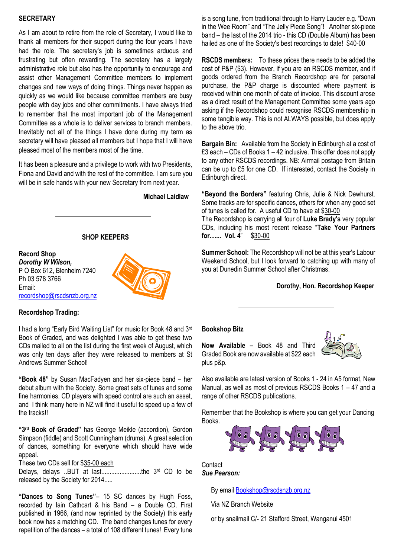## **SECRETARY**

As I am about to retire from the role of Secretary, I would like to thank all members for their support during the four years I have had the role. The secretary's job is sometimes arduous and frustrating but often rewarding. The secretary has a largely administrative role but also has the opportunity to encourage and assist other Management Committee members to implement changes and new ways of doing things. Things never happen as quickly as we would like because committee members are busy people with day jobs and other commitments. I have always tried to remember that the most important job of the Management Committee as a whole is to deliver services to branch members. Inevitably not all of the things I have done during my term as secretary will have pleased all members but I hope that I will have pleased most of the members most of the time.

It has been a pleasure and a privilege to work with two Presidents, Fiona and David and with the rest of the committee. I am sure you will be in safe hands with your new Secretary from next year.

 **Michael Laidlaw**

# **SHOP KEEPERS**

**Record Shop** *Dorothy W Wilson,*  P O Box 612, Blenheim 7240 Ph 03 578 3766 Email: [recordshop@rscdsnzb.org.nz](mailto:recordshop@rscdsnzb.org.nz)



## **Recordshop Trading:**

I had a long "Early Bird Waiting List" for music for Book 48 and 3rd Book of Graded, and was delighted I was able to get these two CDs mailed to all on the list during the first week of August, which was only ten days after they were released to members at St Andrews Summer School!

**"Book 48"** by Susan MacFadyen and her six-piece band – her debut album with the Society. Some great sets of tunes and some fine harmonies. CD players with speed control are such an asset, and I think many here in NZ will find it useful to speed up a few of the tracks!!

**"3rd Book of Graded"** has George Meikle (accordion), Gordon Simpson (fiddle) and Scott Cunningham (drums). A great selection of dances, something for everyone which should have wide appeal.

These two CDs sell for \$35-00 each

Delays, delays ..BUT at last........................the 3rd CD to be released by the Society for 2014.....

**"Dances to Song Tunes"**– 15 SC dances by Hugh Foss, recorded by Iain Cathcart & his Band – a Double CD. First published in 1966, (and now reprinted by the Society) this early book now has a matching CD. The band changes tunes for every repetition of the dances – a total of 108 different tunes! Every tune

is a song tune, from traditional through to Harry Lauder e.g. "Down in the Wee Room" and "The Jelly Piece Song"! Another six-piece band – the last of the 2014 trio - this CD (Double Album) has been hailed as one of the Society's best recordings to date! \$40-00

**RSCDS members:** To these prices there needs to be added the cost of P&P (\$3). However, if you are an RSCDS member, and if goods ordered from the Branch Recordshop are for personal purchase, the P&P charge is discounted where payment is received within one month of date of invoice. This discount arose as a direct result of the Management Committee some years ago asking if the Recordshop could recognise RSCDS membership in some tangible way. This is not ALWAYS possible, but does apply to the above trio.

**Bargain Bin:** Available from the Society in Edinburgh at a cost of £3 each – CDs of Books 1 – 42 inclusive. This offer does not apply to any other RSCDS recordings. NB: Airmail postage from Britain can be up to £5 for one CD. If interested, contact the Society in Edinburgh direct.

**"Beyond the Borders"** featuring Chris, Julie & Nick Dewhurst. Some tracks are for specific dances, others for when any good set of tunes is called for. A useful CD to have at \$30-00 The Recordshop is carrying all four of **Luke Brady's** very popular CDs, including his most recent release "**Take Your Partners for....... Vol. 4**" \$30-00

**Summer School:** The Recordshop will not be at this year's Labour Weekend School, but I look forward to catching up with many of you at Dunedin Summer School after Christmas.

## **Dorothy, Hon. Recordshop Keeper**

## **Bookshop Bitz**

**Now Available –** Book 48 and Third Graded Book are now available at \$22 each plus p&p.



Also available are latest version of Books 1 - 24 in A5 format, New Manual, as well as most of previous RSCDS Books 1 – 47 and a range of other RSCDS publications.

Remember that the Bookshop is where you can get your Dancing Books.



#### **Contact** *Sue Pearson:*

By email [Bookshop@rscdsnzb.org.nz](mailto:Bookshop@rscdsnzb.org.nz)

Via NZ Branch Website

or by snailmail C/- 21 Stafford Street, Wanganui 4501